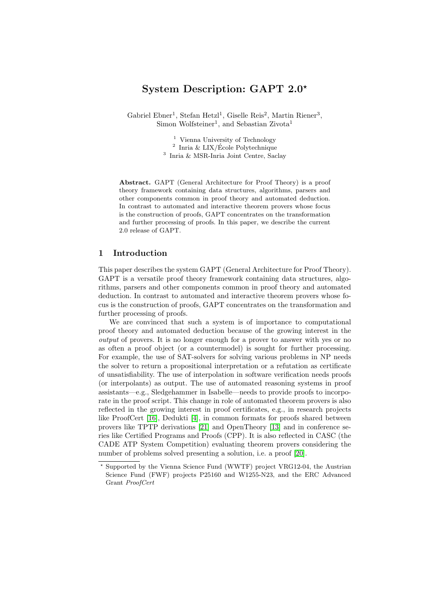# System Description: GAPT 2.0<sup>\*</sup>

Gabriel Ebner<sup>1</sup>, Stefan Hetzl<sup>1</sup>, Giselle Reis<sup>2</sup>, Martin Riener<sup>3</sup>, Simon Wolfsteiner<sup>1</sup>, and Sebastian Zivota<sup>1</sup>

<sup>1</sup> Vienna University of Technology

 $^2$  Inria & LIX/École Polytechnique

3 Inria & MSR-Inria Joint Centre, Saclay

Abstract. GAPT (General Architecture for Proof Theory) is a proof theory framework containing data structures, algorithms, parsers and other components common in proof theory and automated deduction. In contrast to automated and interactive theorem provers whose focus is the construction of proofs, GAPT concentrates on the transformation and further processing of proofs. In this paper, we describe the current 2.0 release of GAPT.

### 1 Introduction

This paper describes the system GAPT (General Architecture for Proof Theory). GAPT is a versatile proof theory framework containing data structures, algorithms, parsers and other components common in proof theory and automated deduction. In contrast to automated and interactive theorem provers whose focus is the construction of proofs, GAPT concentrates on the transformation and further processing of proofs.

We are convinced that such a system is of importance to computational proof theory and automated deduction because of the growing interest in the output of provers. It is no longer enough for a prover to answer with yes or no as often a proof object (or a countermodel) is sought for further processing. For example, the use of SAT-solvers for solving various problems in NP needs the solver to return a propositional interpretation or a refutation as certificate of unsatisfiability. The use of interpolation in software verification needs proofs (or interpolants) as output. The use of automated reasoning systems in proof assistants—e.g., Sledgehammer in Isabelle—needs to provide proofs to incorporate in the proof script. This change in role of automated theorem provers is also reflected in the growing interest in proof certificates, e.g., in research projects like ProofCert [\[16\]](#page-8-0), Dedukti [\[4\]](#page-7-0), in common formats for proofs shared between provers like TPTP derivations [\[21\]](#page-8-1) and OpenTheory [\[13\]](#page-8-2) and in conference series like Certified Programs and Proofs (CPP). It is also reflected in CASC (the CADE ATP System Competition) evaluating theorem provers considering the number of problems solved presenting a solution, i.e. a proof [\[20\]](#page-8-3).

<sup>?</sup> Supported by the Vienna Science Fund (WWTF) project VRG12-04, the Austrian Science Fund (FWF) projects P25160 and W1255-N23, and the ERC Advanced Grant ProofCert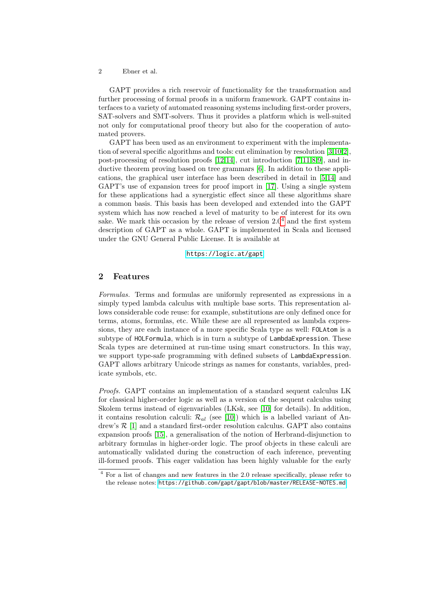2 Ebner et al.

GAPT provides a rich reservoir of functionality for the transformation and further processing of formal proofs in a uniform framework. GAPT contains interfaces to a variety of automated reasoning systems including first-order provers, SAT-solvers and SMT-solvers. Thus it provides a platform which is well-suited not only for computational proof theory but also for the cooperation of automated provers.

GAPT has been used as an environment to experiment with the implementation of several specific algorithms and tools: cut elimination by resolution [\[3,](#page-7-1)[10,](#page-7-2)[2\]](#page-7-3), post-processing of resolution proofs [\[12,](#page-8-4)[14\]](#page-8-5), cut introduction [\[7,](#page-7-4)[11,](#page-8-6)[8,](#page-7-5)[9\]](#page-7-6), and inductive theorem proving based on tree grammars [\[6\]](#page-7-7). In addition to these applications, the graphical user interface has been described in detail in [\[5,](#page-7-8)[14\]](#page-8-5) and GAPT's use of expansion trees for proof import in [\[17\]](#page-8-7). Using a single system for these applications had a synergistic effect since all these algorithms share a common basis. This basis has been developed and extended into the GAPT system which has now reached a level of maturity to be of interest for its own sake. We mark this occasion by the release of version  $2.0<sup>4</sup>$  $2.0<sup>4</sup>$  $2.0<sup>4</sup>$  and the first system description of GAPT as a whole. GAPT is implemented in Scala and licensed under the GNU General Public License. It is available at

#### <https://logic.at/gapt>

#### 2 Features

Formulas. Terms and formulas are uniformly represented as expressions in a simply typed lambda calculus with multiple base sorts. This representation allows considerable code reuse: for example, substitutions are only defined once for terms, atoms, formulas, etc. While these are all represented as lambda expressions, they are each instance of a more specific Scala type as well: FOLAtom is a subtype of HOLFormula, which is in turn a subtype of LambdaExpression. These Scala types are determined at run-time using smart constructors. In this way, we support type-safe programming with defined subsets of LambdaExpression. GAPT allows arbitrary Unicode strings as names for constants, variables, predicate symbols, etc.

Proofs. GAPT contains an implementation of a standard sequent calculus LK for classical higher-order logic as well as a version of the sequent calculus using Skolem terms instead of eigenvariables (LKsk, see [\[10\]](#page-7-2) for details). In addition, it contains resolution calculi:  $\mathcal{R}_{al}$  (see [\[10\]](#page-7-2)) which is a labelled variant of Andrew's  $\mathcal{R}$  [\[1\]](#page-7-9) and a standard first-order resolution calculus. GAPT also contains expansion proofs [\[15\]](#page-8-8), a generalisation of the notion of Herbrand-disjunction to arbitrary formulas in higher-order logic. The proof objects in these calculi are automatically validated during the construction of each inference, preventing ill-formed proofs. This eager validation has been highly valuable for the early

<span id="page-1-0"></span><sup>4</sup> For a list of changes and new features in the 2.0 release specifically, please refer to the release notes: <https://github.com/gapt/gapt/blob/master/RELEASE-NOTES.md>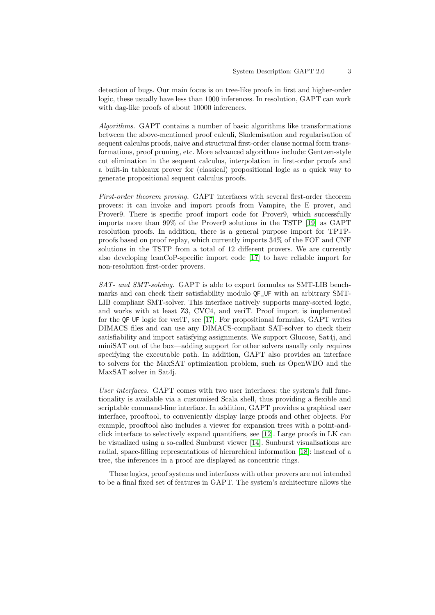detection of bugs. Our main focus is on tree-like proofs in first and higher-order logic, these usually have less than 1000 inferences. In resolution, GAPT can work with dag-like proofs of about 10000 inferences.

Algorithms. GAPT contains a number of basic algorithms like transformations between the above-mentioned proof calculi, Skolemisation and regularisation of sequent calculus proofs, naive and structural first-order clause normal form transformations, proof pruning, etc. More advanced algorithms include: Gentzen-style cut elimination in the sequent calculus, interpolation in first-order proofs and a built-in tableaux prover for (classical) propositional logic as a quick way to generate propositional sequent calculus proofs.

First-order theorem proving. GAPT interfaces with several first-order theorem provers: it can invoke and import proofs from Vampire, the E prover, and Prover9. There is specific proof import code for Prover9, which successfully imports more than 99% of the Prover9 solutions in the TSTP [\[19\]](#page-8-9) as GAPT resolution proofs. In addition, there is a general purpose import for TPTPproofs based on proof replay, which currently imports 34% of the FOF and CNF solutions in the TSTP from a total of 12 different provers. We are currently also developing leanCoP-specific import code [\[17\]](#page-8-7) to have reliable import for non-resolution first-order provers.

SAT- and SMT-solving. GAPT is able to export formulas as SMT-LIB benchmarks and can check their satisfiability modulo  $OF$  UF with an arbitrary SMT-LIB compliant SMT-solver. This interface natively supports many-sorted logic, and works with at least Z3, CVC4, and veriT. Proof import is implemented for the QF UF logic for veriT, see [\[17\]](#page-8-7). For propositional formulas, GAPT writes DIMACS files and can use any DIMACS-compliant SAT-solver to check their satisfiability and import satisfying assignments. We support Glucose, Sat4j, and miniSAT out of the box—adding support for other solvers usually only requires specifying the executable path. In addition, GAPT also provides an interface to solvers for the MaxSAT optimization problem, such as OpenWBO and the MaxSAT solver in Sat4j.

User interfaces. GAPT comes with two user interfaces: the system's full functionality is available via a customised Scala shell, thus providing a flexible and scriptable command-line interface. In addition, GAPT provides a graphical user interface, prooftool, to conveniently display large proofs and other objects. For example, prooftool also includes a viewer for expansion trees with a point-andclick interface to selectively expand quantifiers, see [\[12\]](#page-8-4). Large proofs in LK can be visualized using a so-called Sunburst viewer [\[14\]](#page-8-5). Sunburst visualisations are radial, space-filling representations of hierarchical information [\[18\]](#page-8-10): instead of a tree, the inferences in a proof are displayed as concentric rings.

These logics, proof systems and interfaces with other provers are not intended to be a final fixed set of features in GAPT. The system's architecture allows the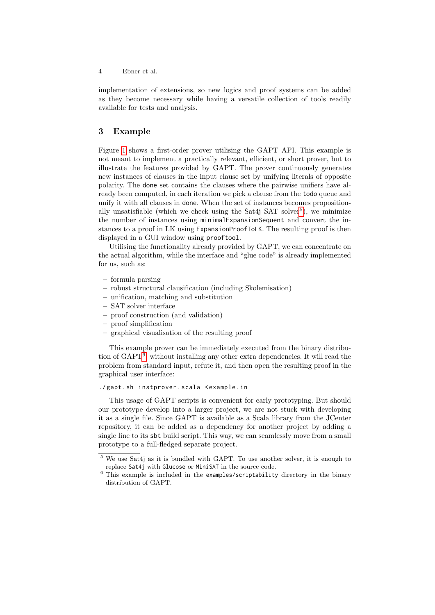4 Ebner et al.

implementation of extensions, so new logics and proof systems can be added as they become necessary while having a versatile collection of tools readily available for tests and analysis.

## 3 Example

Figure [1](#page-4-0) shows a first-order prover utilising the GAPT API. This example is not meant to implement a practically relevant, efficient, or short prover, but to illustrate the features provided by GAPT. The prover continuously generates new instances of clauses in the input clause set by unifying literals of opposite polarity. The done set contains the clauses where the pairwise unifiers have already been computed, in each iteration we pick a clause from the todo queue and unify it with all clauses in done. When the set of instances becomes proposition-ally unsatisfiable (which we check using the Sat4j SAT solver<sup>[5](#page-3-0)</sup>), we minimize the number of instances using minimalExpansionSequent and convert the instances to a proof in LK using ExpansionProofToLK. The resulting proof is then displayed in a GUI window using prooftool.

Utilising the functionality already provided by GAPT, we can concentrate on the actual algorithm, while the interface and "glue code" is already implemented for us, such as:

- formula parsing
- robust structural clausification (including Skolemisation)
- unification, matching and substitution
- SAT solver interface
- proof construction (and validation)
- proof simplification
- graphical visualisation of the resulting proof

This example prover can be immediately executed from the binary distribu-tion of GAPT<sup>[6](#page-3-1)</sup>, without installing any other extra dependencies. It will read the problem from standard input, refute it, and then open the resulting proof in the graphical user interface:

```
./ gapt . sh instprover . scala < example . in
```
This usage of GAPT scripts is convenient for early prototyping. But should our prototype develop into a larger project, we are not stuck with developing it as a single file. Since GAPT is available as a Scala library from the JCenter repository, it can be added as a dependency for another project by adding a single line to its sbt build script. This way, we can seamlessly move from a small prototype to a full-fledged separate project.

<span id="page-3-0"></span><sup>5</sup> We use Sat4j as it is bundled with GAPT. To use another solver, it is enough to replace Sat4j with Glucose or MiniSAT in the source code.

<span id="page-3-1"></span><sup>6</sup> This example is included in the examples/scriptability directory in the binary distribution of GAPT.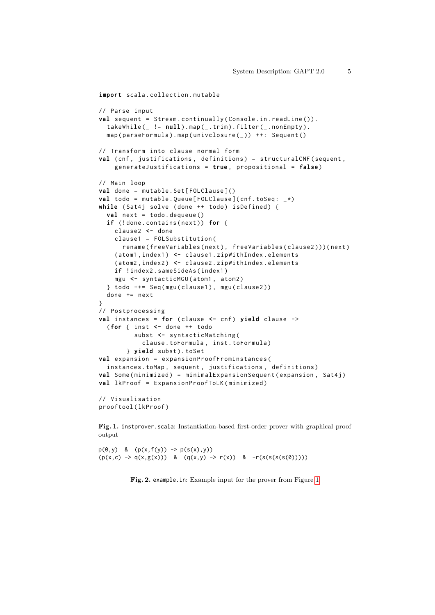```
import scala . collection . mutable
// Parse input
val sequent = Stream.continually (Console.in.readLine()).
  takeWhile ( _ != null ). map ( _ . trim ) . filter ( _ . nonEmpty ).
  map ( parseFormula ) . map ( univclosure ( _) ) ++: Sequent ( )
// Transform into clause normal form
val (cnf, justifications, definitions) = structuralCNF (sequent,
    generateJustifications = true , propositional = false )
// Main loop
val done = mutable.Set[FOLClause]()
val todo = mutable. Queue [FOLClause] (cnf. toSeq: _*)
while (Sat4j solve (done ++ todo) isDefined) {
  val next = todo . dequeue ()
  if (! done . contains ( next )) for {
    clause2 <- done
    clause1 = FOLSubstitution (
      rename ( freeVariables ( next ) , freeVariables ( clause2 )))( next )
    (atom1, index1) <- clause1.zipWithIndex.elements
    ( atom2 , index2 ) <- clause2 . zipWithIndex . elements
    if ! index2 . sameSideAs ( index1 )
    mgu <- syntacticMGU (atom1, atom2)
  } todo ++= Seq ( mgu ( clause1 ) , mgu ( clause2 ))
  done += next
}
// Postprocessing
val instances = for ( clause <- cnf ) yield clause ->
  ( for { inst <- done ++ todo
          subst <- syntacticMatching (
            clause . toFormula , inst . toFormula )
       } yield subst ). toSet
val expansion = expansionProofFromInstances (
  instances . toMap , sequent , justifications , definitions )
val Some (minimized) = minimalExpansionSequent ( expansion, Sat4j)
val lkProof = ExpansionProofToLK ( minimized )
// Visualisation
prooftool ( lkProof )
```
<span id="page-4-0"></span>Fig. 1. instprover.scala: Instantiation-based first-order prover with graphical proof output

 $p(0,y)$  &  $(p(x,f(y)) \rightarrow p(s(x),y))$  $(p(x, c) \rightarrow q(x, g(x)))$  &  $(q(x, y) \rightarrow r(x))$  &  $-r(s(s(s(s(0))))$ 

Fig. 2. example.in: Example input for the prover from Figure [1](#page-4-0)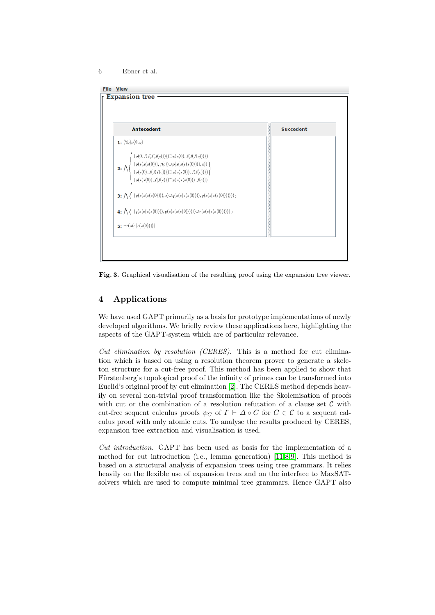6 Ebner et al.



Fig. 3. Graphical visualisation of the resulting proof using the expansion tree viewer.

## <span id="page-5-0"></span>4 Applications

We have used GAPT primarily as a basis for prototype implementations of newly developed algorithms. We briefly review these applications here, highlighting the aspects of the GAPT-system which are of particular relevance.

Cut elimination by resolution (CERES). This is a method for cut elimination which is based on using a resolution theorem prover to generate a skeleton structure for a cut-free proof. This method has been applied to show that Fürstenberg's topological proof of the infinity of primes can be transformed into Euclid's original proof by cut elimination [\[2\]](#page-7-3). The CERES method depends heavily on several non-trivial proof transformation like the Skolemisation of proofs with cut or the combination of a resolution refutation of a clause set  $\mathcal C$  with cut-free sequent calculus proofs  $\psi_C$  of  $\Gamma \vdash \Delta \circ C$  for  $C \in \mathcal{C}$  to a sequent calculus proof with only atomic cuts. To analyse the results produced by CERES, expansion tree extraction and visualisation is used.

Cut introduction. GAPT has been used as basis for the implementation of a method for cut introduction (i.e., lemma generation) [\[11,](#page-8-6)[8,](#page-7-5)[9\]](#page-7-6). This method is based on a structural analysis of expansion trees using tree grammars. It relies heavily on the flexible use of expansion trees and on the interface to MaxSATsolvers which are used to compute minimal tree grammars. Hence GAPT also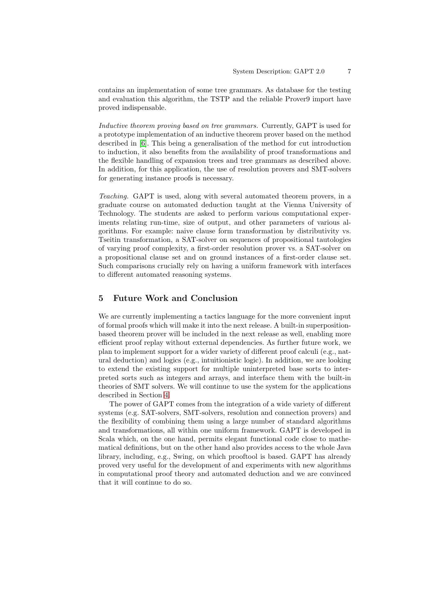contains an implementation of some tree grammars. As database for the testing and evaluation this algorithm, the TSTP and the reliable Prover9 import have proved indispensable.

Inductive theorem proving based on tree grammars. Currently, GAPT is used for a prototype implementation of an inductive theorem prover based on the method described in [\[6\]](#page-7-7). This being a generalisation of the method for cut introduction to induction, it also benefits from the availability of proof transformations and the flexible handling of expansion trees and tree grammars as described above. In addition, for this application, the use of resolution provers and SMT-solvers for generating instance proofs is necessary.

Teaching. GAPT is used, along with several automated theorem provers, in a graduate course on automated deduction taught at the Vienna University of Technology. The students are asked to perform various computational experiments relating run-time, size of output, and other parameters of various algorithms. For example: naive clause form transformation by distributivity vs. Tseitin transformation, a SAT-solver on sequences of propositional tautologies of varying proof complexity, a first-order resolution prover vs. a SAT-solver on a propositional clause set and on ground instances of a first-order clause set. Such comparisons crucially rely on having a uniform framework with interfaces to different automated reasoning systems.

#### 5 Future Work and Conclusion

We are currently implementing a tactics language for the more convenient input of formal proofs which will make it into the next release. A built-in superpositionbased theorem prover will be included in the next release as well, enabling more efficient proof replay without external dependencies. As further future work, we plan to implement support for a wider variety of different proof calculi (e.g., natural deduction) and logics (e.g., intuitionistic logic). In addition, we are looking to extend the existing support for multiple uninterpreted base sorts to interpreted sorts such as integers and arrays, and interface them with the built-in theories of SMT solvers. We will continue to use the system for the applications described in Section [4.](#page-5-0)

The power of GAPT comes from the integration of a wide variety of different systems (e.g. SAT-solvers, SMT-solvers, resolution and connection provers) and the flexibility of combining them using a large number of standard algorithms and transformations, all within one uniform framework. GAPT is developed in Scala which, on the one hand, permits elegant functional code close to mathematical definitions, but on the other hand also provides access to the whole Java library, including, e.g., Swing, on which prooftool is based. GAPT has already proved very useful for the development of and experiments with new algorithms in computational proof theory and automated deduction and we are convinced that it will continue to do so.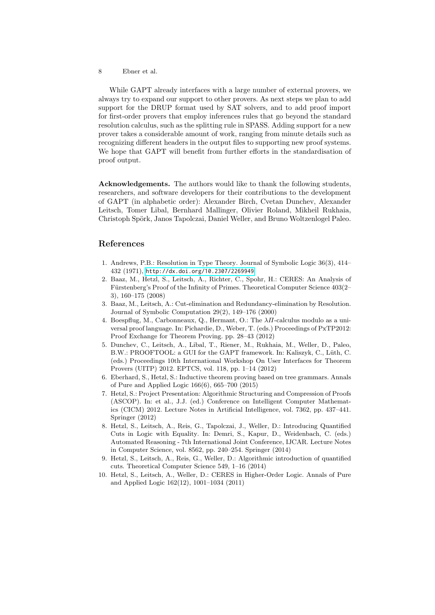While GAPT already interfaces with a large number of external provers, we always try to expand our support to other provers. As next steps we plan to add support for the DRUP format used by SAT solvers, and to add proof import for first-order provers that employ inferences rules that go beyond the standard resolution calculus, such as the splitting rule in SPASS. Adding support for a new prover takes a considerable amount of work, ranging from minute details such as recognizing different headers in the output files to supporting new proof systems. We hope that GAPT will benefit from further efforts in the standardisation of proof output.

Acknowledgements. The authors would like to thank the following students, researchers, and software developers for their contributions to the development of GAPT (in alphabetic order): Alexander Birch, Cvetan Dunchev, Alexander Leitsch, Tomer Libal, Bernhard Mallinger, Olivier Roland, Mikheil Rukhaia, Christoph Spörk, Janos Tapolczai, Daniel Weller, and Bruno Woltzenlogel Paleo.

### References

- <span id="page-7-9"></span>1. Andrews, P.B.: Resolution in Type Theory. Journal of Symbolic Logic 36(3), 414– 432 (1971), <http://dx.doi.org/10.2307/2269949>
- <span id="page-7-3"></span>2. Baaz, M., Hetzl, S., Leitsch, A., Richter, C., Spohr, H.: CERES: An Analysis of Fürstenberg's Proof of the Infinity of Primes. Theoretical Computer Science 403(2– 3), 160–175 (2008)
- <span id="page-7-1"></span>3. Baaz, M., Leitsch, A.: Cut-elimination and Redundancy-elimination by Resolution. Journal of Symbolic Computation 29(2), 149–176 (2000)
- <span id="page-7-0"></span>4. Boespflug, M., Carbonneaux, Q., Hermant, O.: The  $\lambda H$ -calculus modulo as a universal proof language. In: Pichardie, D., Weber, T. (eds.) Proceedings of PxTP2012: Proof Exchange for Theorem Proving. pp. 28–43 (2012)
- <span id="page-7-8"></span>5. Dunchev, C., Leitsch, A., Libal, T., Riener, M., Rukhaia, M., Weller, D., Paleo, B.W.: PROOFTOOL: a GUI for the GAPT framework. In: Kaliszyk, C., Lüth, C. (eds.) Proceedings 10th International Workshop On User Interfaces for Theorem Provers (UITP) 2012. EPTCS, vol. 118, pp. 1–14 (2012)
- <span id="page-7-7"></span>6. Eberhard, S., Hetzl, S.: Inductive theorem proving based on tree grammars. Annals of Pure and Applied Logic 166(6), 665–700 (2015)
- <span id="page-7-4"></span>7. Hetzl, S.: Project Presentation: Algorithmic Structuring and Compression of Proofs (ASCOP). In: et al., J.J. (ed.) Conference on Intelligent Computer Mathematics (CICM) 2012. Lecture Notes in Artificial Intelligence, vol. 7362, pp. 437–441. Springer (2012)
- <span id="page-7-5"></span>8. Hetzl, S., Leitsch, A., Reis, G., Tapolczai, J., Weller, D.: Introducing Quantified Cuts in Logic with Equality. In: Demri, S., Kapur, D., Weidenbach, C. (eds.) Automated Reasoning - 7th International Joint Conference, IJCAR. Lecture Notes in Computer Science, vol. 8562, pp. 240–254. Springer (2014)
- <span id="page-7-6"></span>9. Hetzl, S., Leitsch, A., Reis, G., Weller, D.: Algorithmic introduction of quantified cuts. Theoretical Computer Science 549, 1–16 (2014)
- <span id="page-7-2"></span>10. Hetzl, S., Leitsch, A., Weller, D.: CERES in Higher-Order Logic. Annals of Pure and Applied Logic 162(12), 1001–1034 (2011)

<sup>8</sup> Ebner et al.